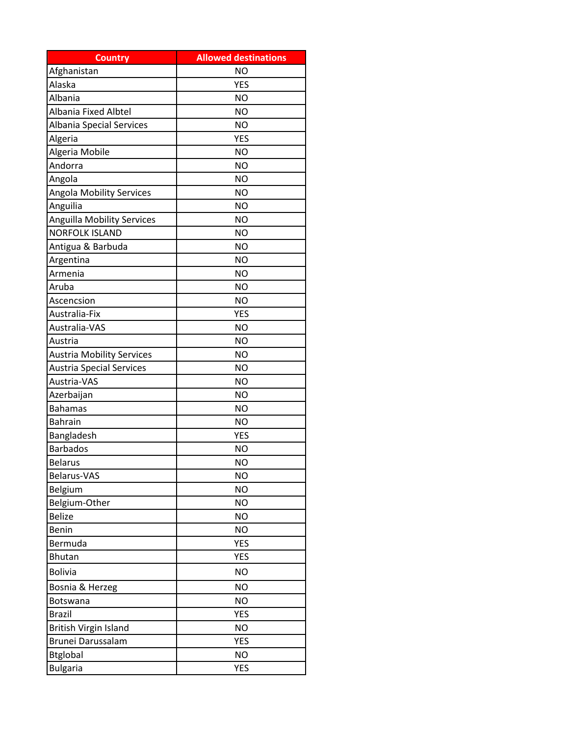| <b>Country</b>                    | <b>Allowed destinations</b> |
|-----------------------------------|-----------------------------|
| Afghanistan                       | <b>NO</b>                   |
| Alaska                            | <b>YES</b>                  |
| Albania                           | <b>NO</b>                   |
| Albania Fixed Albtel              | <b>NO</b>                   |
| Albania Special Services          | NO                          |
| Algeria                           | <b>YES</b>                  |
| Algeria Mobile                    | <b>NO</b>                   |
| Andorra                           | <b>NO</b>                   |
| Angola                            | <b>NO</b>                   |
| <b>Angola Mobility Services</b>   | <b>NO</b>                   |
| Anguilia                          | <b>NO</b>                   |
| <b>Anguilla Mobility Services</b> | <b>NO</b>                   |
| <b>NORFOLK ISLAND</b>             | <b>NO</b>                   |
| Antigua & Barbuda                 | <b>NO</b>                   |
| Argentina                         | <b>NO</b>                   |
| Armenia                           | <b>NO</b>                   |
| Aruba                             | <b>NO</b>                   |
| Ascencsion                        | NO                          |
| Australia-Fix                     | <b>YES</b>                  |
| Australia-VAS                     | <b>NO</b>                   |
| Austria                           | <b>NO</b>                   |
| <b>Austria Mobility Services</b>  | <b>NO</b>                   |
| <b>Austria Special Services</b>   | <b>NO</b>                   |
| Austria-VAS                       | ΝO                          |
| Azerbaijan                        | <b>NO</b>                   |
| <b>Bahamas</b>                    | ΝO                          |
| <b>Bahrain</b>                    | <b>NO</b>                   |
| Bangladesh                        | <b>YES</b>                  |
| <b>Barbados</b>                   | <b>NO</b>                   |
| <b>Belarus</b>                    | <b>NO</b>                   |
| Belarus-VAS                       | <b>NO</b>                   |
| Belgium                           | <b>NO</b>                   |
| Belgium-Other                     | <b>NO</b>                   |
| <b>Belize</b>                     | <b>NO</b>                   |
| Benin                             | <b>NO</b>                   |
| Bermuda                           | <b>YES</b>                  |
| <b>Bhutan</b>                     | <b>YES</b>                  |
| <b>Bolivia</b>                    | <b>NO</b>                   |
| Bosnia & Herzeg                   | <b>NO</b>                   |
| Botswana                          | <b>NO</b>                   |
| <b>Brazil</b>                     | <b>YES</b>                  |
| British Virgin Island             | <b>NO</b>                   |
| Brunei Darussalam                 | <b>YES</b>                  |
| <b>Btglobal</b>                   | <b>NO</b>                   |
| <b>Bulgaria</b>                   | <b>YES</b>                  |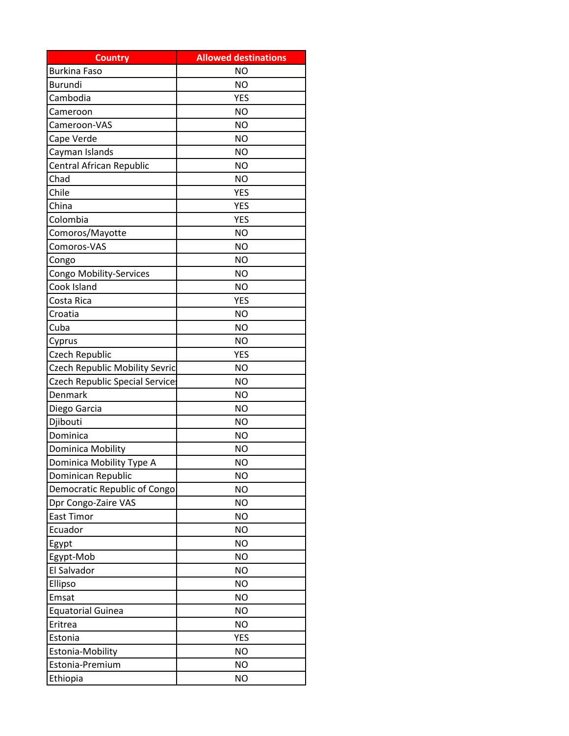| <b>Country</b>                 | <b>Allowed destinations</b> |
|--------------------------------|-----------------------------|
| <b>Burkina Faso</b>            | <b>NO</b>                   |
| Burundi                        | <b>NO</b>                   |
| Cambodia                       | <b>YES</b>                  |
| Cameroon                       | <b>NO</b>                   |
| Cameroon-VAS                   | <b>NO</b>                   |
| Cape Verde                     | <b>NO</b>                   |
| Cayman Islands                 | <b>NO</b>                   |
| Central African Republic       | <b>NO</b>                   |
| Chad                           | <b>NO</b>                   |
| Chile                          | <b>YES</b>                  |
| China                          | <b>YES</b>                  |
| Colombia                       | <b>YES</b>                  |
| Comoros/Mayotte                | <b>NO</b>                   |
| Comoros-VAS                    | <b>NO</b>                   |
| Congo                          | <b>NO</b>                   |
| Congo Mobility-Services        | <b>NO</b>                   |
| Cook Island                    | <b>NO</b>                   |
| Costa Rica                     | <b>YES</b>                  |
| Croatia                        | <b>NO</b>                   |
| Cuba                           | <b>NO</b>                   |
| Cyprus                         | <b>NO</b>                   |
| Czech Republic                 | <b>YES</b>                  |
| Czech Republic Mobility Sevric | <b>NO</b>                   |
| Czech Republic Special Service | <b>NO</b>                   |
| Denmark                        | <b>NO</b>                   |
| Diego Garcia                   | <b>NO</b>                   |
| Djibouti                       | <b>NO</b>                   |
| Dominica                       | <b>NO</b>                   |
| Dominica Mobility              | ΝO                          |
| Dominica Mobility Type A       | <b>NO</b>                   |
| Dominican Republic             | <b>NO</b>                   |
| Democratic Republic of Congo   | <b>NO</b>                   |
| Dpr Congo-Zaire VAS            | <b>NO</b>                   |
| East Timor                     | <b>NO</b>                   |
| Ecuador                        | <b>NO</b>                   |
| Egypt                          | <b>NO</b>                   |
| Egypt-Mob                      | <b>NO</b>                   |
| El Salvador                    | <b>NO</b>                   |
| Ellipso                        | <b>NO</b>                   |
| Emsat                          | <b>NO</b>                   |
| <b>Equatorial Guinea</b>       | <b>NO</b>                   |
| Eritrea                        | <b>NO</b>                   |
| Estonia                        | <b>YES</b>                  |
| Estonia-Mobility               | <b>NO</b>                   |
| Estonia-Premium                | <b>NO</b>                   |
| Ethiopia                       | <b>NO</b>                   |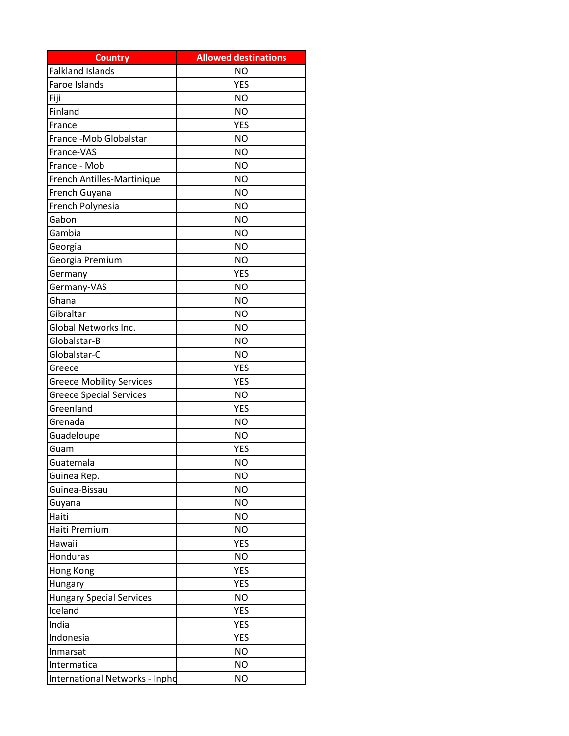| <b>Country</b>                  | <b>Allowed destinations</b> |
|---------------------------------|-----------------------------|
| <b>Falkland Islands</b>         | <b>NO</b>                   |
| Faroe Islands                   | <b>YES</b>                  |
| Fiji                            | <b>NO</b>                   |
| Finland                         | <b>NO</b>                   |
| France                          | <b>YES</b>                  |
| France - Mob Globalstar         | <b>NO</b>                   |
| France-VAS                      | <b>NO</b>                   |
| France - Mob                    | <b>NO</b>                   |
| French Antilles-Martinique      | <b>NO</b>                   |
| French Guyana                   | <b>NO</b>                   |
| French Polynesia                | <b>NO</b>                   |
| Gabon                           | <b>NO</b>                   |
| Gambia                          | <b>NO</b>                   |
| Georgia                         | <b>NO</b>                   |
| Georgia Premium                 | <b>NO</b>                   |
| Germany                         | <b>YES</b>                  |
| Germany-VAS                     | <b>NO</b>                   |
| Ghana                           | <b>NO</b>                   |
| Gibraltar                       | <b>NO</b>                   |
| Global Networks Inc.            | <b>NO</b>                   |
| Globalstar-B                    | <b>NO</b>                   |
| Globalstar-C                    | <b>NO</b>                   |
| Greece                          | <b>YES</b>                  |
| <b>Greece Mobility Services</b> | <b>YES</b>                  |
| <b>Greece Special Services</b>  | <b>NO</b>                   |
| Greenland                       | <b>YES</b>                  |
| Grenada                         | <b>NO</b>                   |
| Guadeloupe                      | <b>NO</b>                   |
| Guam                            | <b>YES</b>                  |
| Guatemala                       | <b>NO</b>                   |
| Guinea Rep.                     | <b>NO</b>                   |
| Guinea-Bissau                   | <b>NO</b>                   |
| Guyana                          | <b>NO</b>                   |
| Haiti                           | <b>NO</b>                   |
| Haiti Premium                   | <b>NO</b>                   |
| Hawaii                          | <b>YES</b>                  |
| Honduras                        | <b>NO</b>                   |
| Hong Kong                       | <b>YES</b>                  |
| Hungary                         | <b>YES</b>                  |
| <b>Hungary Special Services</b> | <b>NO</b>                   |
| Iceland                         | <b>YES</b>                  |
| India                           | <b>YES</b>                  |
| Indonesia                       | <b>YES</b>                  |
| Inmarsat                        | <b>NO</b>                   |
| Intermatica                     | <b>NO</b>                   |
| International Networks - Inpho  | <b>NO</b>                   |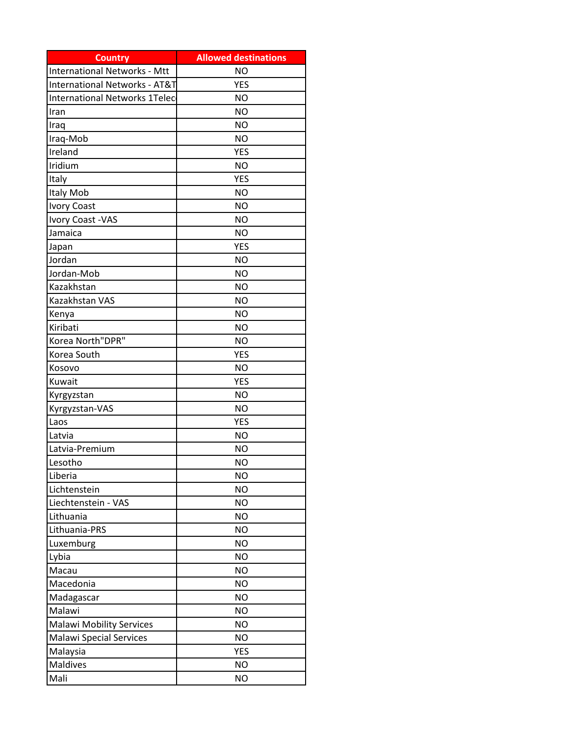| <b>Country</b>                           | <b>Allowed destinations</b> |
|------------------------------------------|-----------------------------|
| <b>International Networks - Mtt</b>      | <b>NO</b>                   |
| <b>International Networks - AT&amp;T</b> | <b>YES</b>                  |
| International Networks 1Telec            | <b>NO</b>                   |
| Iran                                     | <b>NO</b>                   |
| Iraq                                     | <b>NO</b>                   |
| Iraq-Mob                                 | <b>NO</b>                   |
| Ireland                                  | <b>YES</b>                  |
| Iridium                                  | <b>NO</b>                   |
| Italy                                    | <b>YES</b>                  |
| Italy Mob                                | <b>NO</b>                   |
| <b>Ivory Coast</b>                       | <b>NO</b>                   |
| Ivory Coast -VAS                         | <b>NO</b>                   |
| Jamaica                                  | <b>NO</b>                   |
| Japan                                    | <b>YES</b>                  |
| Jordan                                   | <b>NO</b>                   |
| Jordan-Mob                               | <b>NO</b>                   |
| Kazakhstan                               | <b>NO</b>                   |
| Kazakhstan VAS                           | <b>NO</b>                   |
| Kenya                                    | <b>NO</b>                   |
| Kiribati                                 | <b>NO</b>                   |
| Korea North"DPR"                         | <b>NO</b>                   |
| Korea South                              | <b>YES</b>                  |
| Kosovo                                   | <b>NO</b>                   |
| Kuwait                                   | <b>YES</b>                  |
| Kyrgyzstan                               | <b>NO</b>                   |
| Kyrgyzstan-VAS                           | <b>NO</b>                   |
| Laos                                     | <b>YES</b>                  |
| Latvia                                   | <b>NO</b>                   |
| Latvia-Premium                           | <b>NO</b>                   |
| Lesotho                                  | <b>NO</b>                   |
| Liberia                                  | <b>NO</b>                   |
| Lichtenstein                             | <b>NO</b>                   |
| Liechtenstein - VAS                      | <b>NO</b>                   |
| Lithuania                                | <b>NO</b>                   |
| Lithuania-PRS                            | <b>NO</b>                   |
| Luxemburg                                | <b>NO</b>                   |
| Lybia                                    | <b>NO</b>                   |
| Macau                                    | <b>NO</b>                   |
| Macedonia                                | <b>NO</b>                   |
| Madagascar                               | <b>NO</b>                   |
| Malawi                                   | <b>NO</b>                   |
| <b>Malawi Mobility Services</b>          | <b>NO</b>                   |
| <b>Malawi Special Services</b>           | <b>NO</b>                   |
| Malaysia                                 | <b>YES</b>                  |
| Maldives                                 | <b>NO</b>                   |
| Mali                                     | <b>NO</b>                   |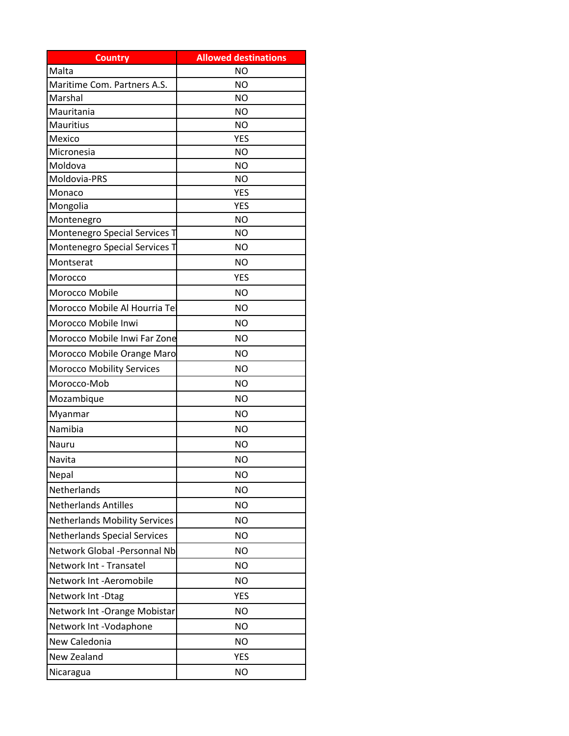| <b>Country</b>                       | <b>Allowed destinations</b> |
|--------------------------------------|-----------------------------|
| Malta                                | NO                          |
| Maritime Com. Partners A.S.          | <b>NO</b>                   |
| Marshal                              | N <sub>O</sub>              |
| Mauritania                           | <b>NO</b>                   |
| Mauritius                            | <b>NO</b>                   |
| Mexico                               | <b>YES</b>                  |
| Micronesia                           | <b>NO</b>                   |
| Moldova                              | NO                          |
| Moldovia-PRS                         | <b>NO</b>                   |
| Monaco                               | <b>YES</b>                  |
| Mongolia<br>Montenegro               | <b>YES</b><br><b>NO</b>     |
| Montenegro Special Services T        | ΝO                          |
| Montenegro Special Services T        | ΝO                          |
| Montserat                            | <b>NO</b>                   |
|                                      |                             |
| Morocco                              | <b>YES</b>                  |
| Morocco Mobile                       | <b>NO</b>                   |
| Morocco Mobile Al Hourria Tel        | <b>NO</b>                   |
| Morocco Mobile Inwi                  | NO                          |
| Morocco Mobile Inwi Far Zone         | NO                          |
| Morocco Mobile Orange Maro           | ΝO                          |
| <b>Morocco Mobility Services</b>     | <b>NO</b>                   |
| Morocco-Mob                          | <b>NO</b>                   |
| Mozambique                           | <b>NO</b>                   |
| Myanmar                              | ΝO                          |
| Namibia                              | <b>NO</b>                   |
| Nauru                                | NΟ                          |
| Navita                               | <b>NO</b>                   |
| Nepal                                | <b>NO</b>                   |
| Netherlands                          | <b>NO</b>                   |
| <b>Netherlands Antilles</b>          | <b>NO</b>                   |
| <b>Netherlands Mobility Services</b> | <b>NO</b>                   |
| <b>Netherlands Special Services</b>  | <b>NO</b>                   |
| Network Global -Personnal Nb         | <b>NO</b>                   |
| Network Int - Transatel              |                             |
|                                      | <b>NO</b>                   |
| Network Int -Aeromobile              | <b>NO</b>                   |
| Network Int -Dtag                    | <b>YES</b>                  |
| Network Int - Orange Mobistar        | <b>NO</b>                   |
| Network Int -Vodaphone               | ΝO                          |
| New Caledonia                        | <b>NO</b>                   |
| New Zealand                          | <b>YES</b>                  |
| Nicaragua                            | <b>NO</b>                   |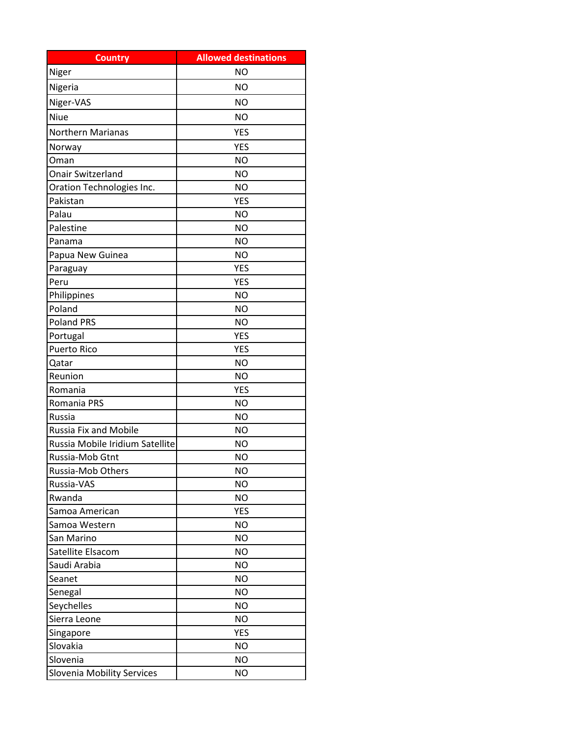| <b>Country</b>                  | <b>Allowed destinations</b> |
|---------------------------------|-----------------------------|
| Niger                           | <b>NO</b>                   |
| Nigeria                         | <b>NO</b>                   |
| Niger-VAS                       | <b>NO</b>                   |
| <b>Niue</b>                     | <b>NO</b>                   |
| Northern Marianas               | <b>YES</b>                  |
| Norway                          | <b>YES</b>                  |
| Oman                            | <b>NO</b>                   |
| <b>Onair Switzerland</b>        | <b>NO</b>                   |
| Oration Technologies Inc.       | <b>NO</b>                   |
| Pakistan                        | <b>YES</b>                  |
| Palau                           | <b>NO</b>                   |
| Palestine                       | <b>NO</b>                   |
| Panama                          | <b>NO</b>                   |
| Papua New Guinea                | <b>NO</b>                   |
| Paraguay                        | <b>YES</b>                  |
| Peru                            | <b>YES</b>                  |
| Philippines                     | <b>NO</b>                   |
| Poland                          | <b>NO</b>                   |
| <b>Poland PRS</b>               | <b>NO</b>                   |
| Portugal                        | <b>YES</b>                  |
| <b>Puerto Rico</b>              | <b>YES</b>                  |
| Qatar                           | <b>NO</b>                   |
| Reunion                         | <b>NO</b>                   |
| Romania                         | <b>YES</b>                  |
| Romania PRS                     | <b>NO</b>                   |
| Russia                          | <b>NO</b>                   |
| Russia Fix and Mobile           | <b>NO</b>                   |
| Russia Mobile Iridium Satellite | <b>NO</b>                   |
| Russia-Mob Gtnt                 | ΝO                          |
| Russia-Mob Others               | <b>NO</b>                   |
| Russia-VAS                      | <b>NO</b>                   |
| Rwanda                          | <b>NO</b>                   |
| Samoa American                  | <b>YES</b>                  |
| Samoa Western                   | <b>NO</b>                   |
| San Marino                      | <b>NO</b>                   |
| Satellite Elsacom               | <b>NO</b>                   |
| Saudi Arabia                    | <b>NO</b>                   |
| Seanet                          | <b>NO</b>                   |
| Senegal                         | <b>NO</b>                   |
| Seychelles                      | <b>NO</b>                   |
| Sierra Leone                    | <b>NO</b>                   |
| Singapore                       | <b>YES</b>                  |
| Slovakia                        | <b>NO</b>                   |
| Slovenia                        | <b>NO</b>                   |
| Slovenia Mobility Services      | <b>NO</b>                   |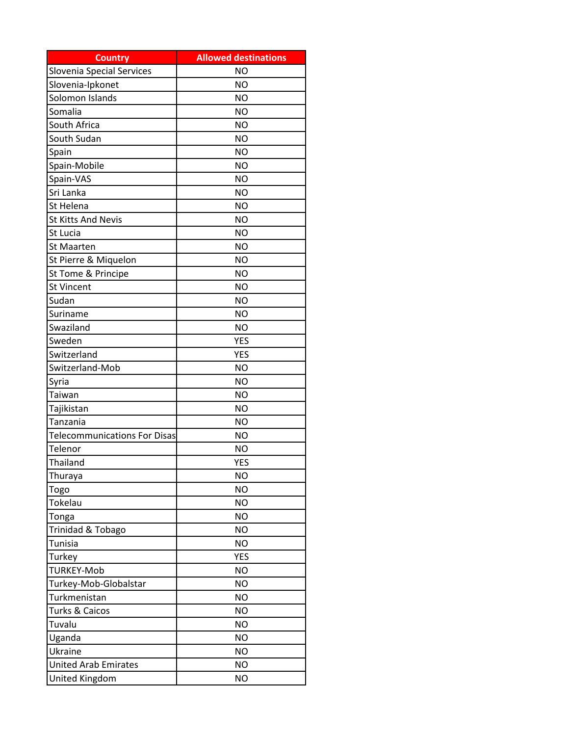| <b>Country</b>                      | <b>Allowed destinations</b> |
|-------------------------------------|-----------------------------|
| <b>Slovenia Special Services</b>    | <b>NO</b>                   |
| Slovenia-Ipkonet                    | <b>NO</b>                   |
| Solomon Islands                     | <b>NO</b>                   |
| Somalia                             | <b>NO</b>                   |
| South Africa                        | <b>NO</b>                   |
| South Sudan                         | <b>NO</b>                   |
| Spain                               | <b>NO</b>                   |
| Spain-Mobile                        | <b>NO</b>                   |
| Spain-VAS                           | <b>NO</b>                   |
| Sri Lanka                           | <b>NO</b>                   |
| St Helena                           | <b>NO</b>                   |
| <b>St Kitts And Nevis</b>           | <b>NO</b>                   |
| St Lucia                            | <b>NO</b>                   |
| <b>St Maarten</b>                   | <b>NO</b>                   |
| St Pierre & Miquelon                | <b>NO</b>                   |
| St Tome & Principe                  | <b>NO</b>                   |
| <b>St Vincent</b>                   | <b>NO</b>                   |
| Sudan                               | <b>NO</b>                   |
| Suriname                            | <b>NO</b>                   |
| Swaziland                           | <b>NO</b>                   |
| Sweden                              | <b>YES</b>                  |
| Switzerland                         | <b>YES</b>                  |
| Switzerland-Mob                     | <b>NO</b>                   |
| Syria                               | <b>NO</b>                   |
| Taiwan                              | <b>NO</b>                   |
| Tajikistan                          | <b>NO</b>                   |
| Tanzania                            | <b>NO</b>                   |
| <b>Telecommunications For Disas</b> | <b>NO</b>                   |
| Telenor                             | ΝO                          |
| Thailand                            | <b>YES</b>                  |
| Thuraya                             | <b>NO</b>                   |
| Togo                                | <b>NO</b>                   |
| Tokelau                             | <b>NO</b>                   |
| Tonga                               | <b>NO</b>                   |
| Trinidad & Tobago                   | <b>NO</b>                   |
| Tunisia                             | <b>NO</b>                   |
| Turkey                              | <b>YES</b>                  |
| <b>TURKEY-Mob</b>                   | <b>NO</b>                   |
| Turkey-Mob-Globalstar               | <b>NO</b>                   |
| Turkmenistan                        | <b>NO</b>                   |
| Turks & Caicos                      | <b>NO</b>                   |
| Tuvalu                              | <b>NO</b>                   |
| Uganda                              | <b>NO</b>                   |
| Ukraine                             | <b>NO</b>                   |
| <b>United Arab Emirates</b>         | <b>NO</b>                   |
| United Kingdom                      | <b>NO</b>                   |